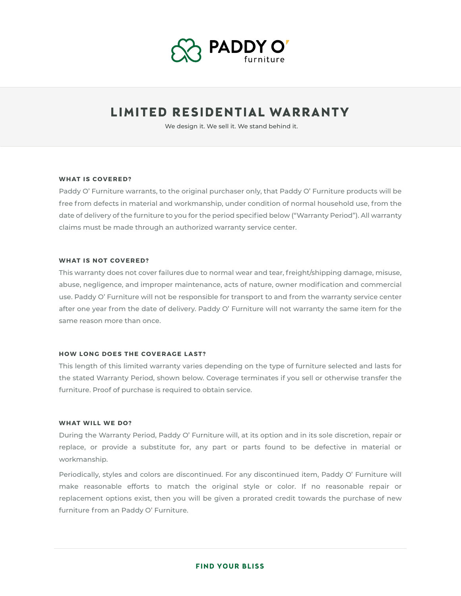

# **LIMITED RESIDENTIAL WARRANTY**

We design it. We sell it. We stand behind it.

#### **WHAT IS COVERED?**

Paddy O' Furniture warrants, to the original purchaser only, that Paddy O' Furniture products will be free from defects in material and workmanship, under condition of normal household use, from the date of delivery of the furniture to you for the period specified below ("Warranty Period"). All warranty claims must be made through an authorized warranty service center.

### **WHAT IS NOT COVERED?**

This warranty does not cover failures due to normal wear and tear, freight/shipping damage, misuse, abuse, negligence, and improper maintenance, acts of nature, owner modification and commercial use. Paddy O' Furniture will not be responsible for transport to and from the warranty service center after one year from the date of delivery. Paddy O' Furniture will not warranty the same item for the same reason more than once.

#### **HOW LONG DOES THE COVERAGE LAST?**

This length of this limited warranty varies depending on the type of furniture selected and lasts for the stated Warranty Period, shown below. Coverage terminates if you sell or otherwise transfer the furniture. Proof of purchase is required to obtain service.

#### **WHAT WILL WE DO?**

During the Warranty Period, Paddy O' Furniture will, at its option and in its sole discretion, repair or replace, or provide a substitute for, any part or parts found to be defective in material or workmanship.

Periodically, styles and colors are discontinued. For any discontinued item, Paddy O' Furniture will make reasonable efforts to match the original style or color. If no reasonable repair or replacement options exist, then you will be given a prorated credit towards the purchase of new furniture from an Paddy O' Furniture.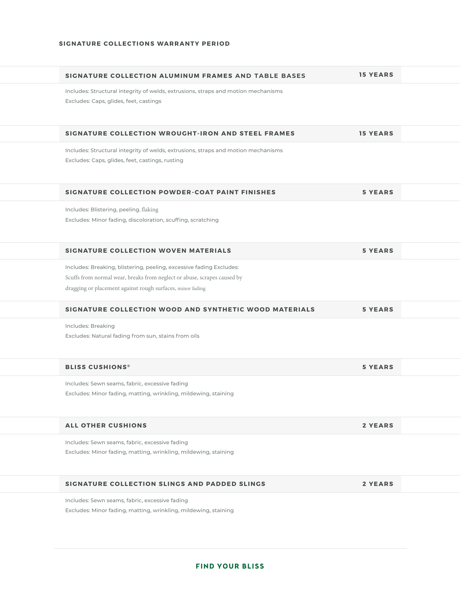| SIGNATURE COLLECTION ALUMINUM FRAMES AND TABLE BASES                                                                                                                                                          | <b>15 YEARS</b> |  |
|---------------------------------------------------------------------------------------------------------------------------------------------------------------------------------------------------------------|-----------------|--|
| Includes: Structural integrity of welds, extrusions, straps and motion mechanisms<br>Excludes: Caps, glides, feet, castings                                                                                   |                 |  |
| SIGNATURE COLLECTION WROUGHT-IRON AND STEEL FRAMES                                                                                                                                                            | <b>15 YEARS</b> |  |
| Includes: Structural integrity of welds, extrusions, straps and motion mechanisms<br>Excludes: Caps, glides, feet, castings, rusting                                                                          |                 |  |
| SIGNATURE COLLECTION POWDER-COAT PAINT FINISHES                                                                                                                                                               | <b>5 YEARS</b>  |  |
| Includes: Blistering, peeling, flaking<br>Excludes: Minor fading, discoloration, scuffing, scratching                                                                                                         |                 |  |
| SIGNATURE COLLECTION WOVEN MATERIALS                                                                                                                                                                          | <b>5 YEARS</b>  |  |
| Includes: Breaking, blistering, peeling, excessive fading Excludes:<br>Scuffs from normal wear, breaks from neglect or abuse, scrapes caused by<br>dragging or placement against rough surfaces, minor fading |                 |  |
| SIGNATURE COLLECTION WOOD AND SYNTHETIC WOOD MATERIALS                                                                                                                                                        | <b>5 YEARS</b>  |  |
| Includes: Breaking<br>Excludes: Natural fading from sun, stains from oils                                                                                                                                     |                 |  |
| <b>BLISS CUSHIONS<sup>®</sup></b>                                                                                                                                                                             | <b>5 YEARS</b>  |  |
| Includes: Sewn seams, fabric, excessive fading<br>Excludes: Minor fading, matting, wrinkling, mildewing, staining                                                                                             |                 |  |
| <b>ALL OTHER CUSHIONS</b>                                                                                                                                                                                     | 2 YEARS         |  |
| Includes: Sewn seams, fabric, excessive fading<br>Excludes: Minor fading, matting, wrinkling, mildewing, staining                                                                                             |                 |  |
| SIGNATURE COLLECTION SLINGS AND PADDED SLINGS                                                                                                                                                                 | 2 YEARS         |  |
| Includes: Sewn seams, fabric, excessive fading<br>Excludes: Minor fading, matting, wrinkling, mildewing, staining                                                                                             |                 |  |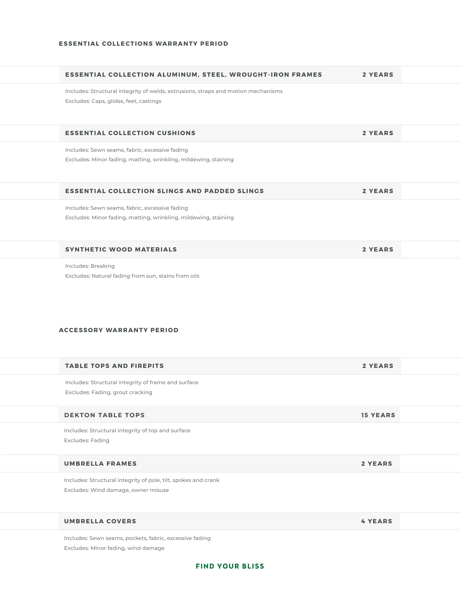| <b>ESSENTIAL COLLECTION ALUMINUM, STEEL, WROUGHT-IRON FRAMES</b>                                                            | <b>2 YEARS</b>  |  |
|-----------------------------------------------------------------------------------------------------------------------------|-----------------|--|
| Includes: Structural integrity of welds, extrusions, straps and motion mechanisms<br>Excludes: Caps, glides, feet, castings |                 |  |
| <b>ESSENTIAL COLLECTION CUSHIONS</b>                                                                                        | <b>2 YEARS</b>  |  |
| Includes: Sewn seams, fabric, excessive fading<br>Excludes: Minor fading, matting, wrinkling, mildewing, staining           |                 |  |
| <b>ESSENTIAL COLLECTION SLINGS AND PADDED SLINGS</b>                                                                        | <b>2 YEARS</b>  |  |
| Includes: Sewn seams, fabric, excessive fading<br>Excludes: Minor fading, matting, wrinkling, mildewing, staining           |                 |  |
| <b>SYNTHETIC WOOD MATERIALS</b>                                                                                             | 2 YEARS         |  |
| Includes: Breaking<br>Excludes: Natural fading from sun, stains from oils<br><b>ACCESSORY WARRANTY PERIOD</b>               |                 |  |
| <b>TABLE TOPS AND FIREPITS</b>                                                                                              | <b>2 YEARS</b>  |  |
| Includes: Structural integrity of frame and surface<br>Excludes: Fading, grout cracking                                     |                 |  |
| <b>DEKTON TABLE TOPS</b>                                                                                                    | <b>15 YEARS</b> |  |
| Includes: Structural integrity of top and surface<br>Excludes: Fading                                                       |                 |  |
| <b>UMBRELLA FRAMES</b>                                                                                                      | 2 YEARS         |  |
| Includes: Structural integrity of pole, tilt, spokes and crank<br>Excludes: Wind damage, owner misuse                       |                 |  |
| <b>UMBRELLA COVERS</b>                                                                                                      | <b>4 YEARS</b>  |  |
|                                                                                                                             |                 |  |

Includes: Sewn seams, pockets, fabric, excessive fading Excludes: Minor fading, wind damage